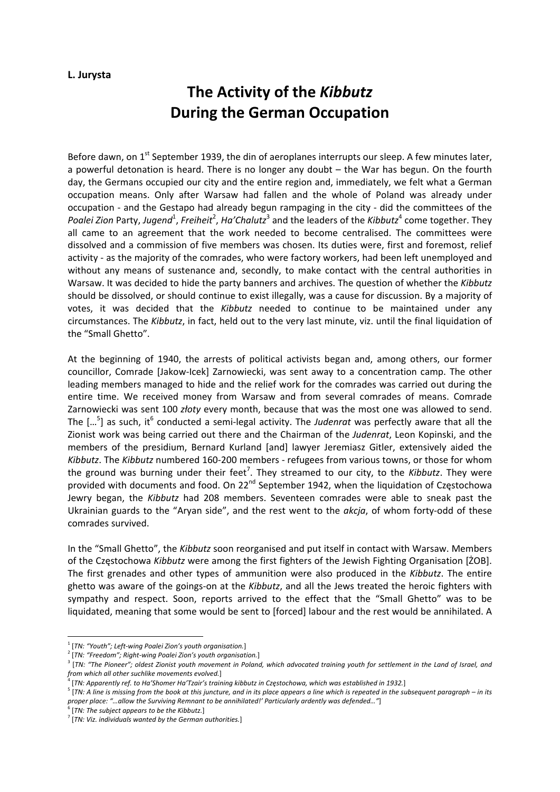## **L. Jurysta**

## **The Activity of the** *Kibbutz* **During the German Occupation**

Before dawn, on 1<sup>st</sup> September 1939, the din of aeroplanes interrupts our sleep. A few minutes later, a powerful detonation is heard. There is no longer any doubt – the War has begun. On the fourth day, the Germans occupied our city and the entire region and, immediately, we felt what a German occupation means. Only after Warsaw had fallen and the whole of Poland was already under occupation ‐ and the Gestapo had already begun rampaging in the city ‐ did the committees of the Poalei Zion Party, Jugend<sup>1</sup>, Freiheit<sup>2</sup>, Ha'Chalutz<sup>3</sup> and the leaders of the *Kibbutz*<sup>4</sup> come together. They all came to an agreement that the work needed to become centralised. The committees were dissolved and a commission of five members was chosen. Its duties were, first and foremost, relief activity ‐ as the majority of the comrades, who were factory workers, had been left unemployed and without any means of sustenance and, secondly, to make contact with the central authorities in Warsaw. It was decided to hide the party banners and archives. The question of whether the *Kibbutz* should be dissolved, or should continue to exist illegally, was a cause for discussion. By a majority of votes, it was decided that the *Kibbutz* needed to continue to be maintained under any circumstances. The *Kibbutz*, in fact, held out to the very last minute, viz. until the final liquidation of the "Small Ghetto".

At the beginning of 1940, the arrests of political activists began and, among others, our former councillor, Comrade [Jakow‐Icek] Zarnowiecki, was sent away to a concentration camp. The other leading members managed to hide and the relief work for the comrades was carried out during the entire time. We received money from Warsaw and from several comrades of means. Comrade Zarnowiecki was sent 100 *złoty* every month, because that was the most one was allowed to send. The [...<sup>5</sup>] as such, it<sup>6</sup> conducted a semi-legal activity. The *Judenrat* was perfectly aware that all the Zionist work was being carried out there and the Chairman of the *Judenrat*, Leon Kopinski, and the members of the presidium, Bernard Kurland [and] lawyer Jeremiasz Gitler, extensively aided the *Kibbutz*. The *Kibbutz* numbered 160‐200 members ‐ refugees from various towns, or those for whom the ground was burning under their feet<sup>7</sup>. They streamed to our city, to the *Kibbutz*. They were provided with documents and food. On 22<sup>nd</sup> September 1942, when the liquidation of Częstochowa Jewry began, the *Kibbutz* had 208 members. Seventeen comrades were able to sneak past the Ukrainian guards to the "Aryan side", and the rest went to the *akcja*, of whom forty‐odd of these comrades survived.

In the "Small Ghetto", the *Kibbutz* soon reorganised and put itself in contact with Warsaw. Members of the Częstochowa *Kibbutz* were among the first fighters of the Jewish Fighting Organisation [ŻOB]. The first grenades and other types of ammunition were also produced in the *Kibbutz*. The entire ghetto was aware of the goings‐on at the *Kibbutz*, and all the Jews treated the heroic fighters with sympathy and respect. Soon, reports arrived to the effect that the "Small Ghetto" was to be liquidated, meaning that some would be sent to [forced] labour and the rest would be annihilated. A

<sup>1</sup> [*TN: "Youth"; Left‐wing Poalei Zion's youth organisation.*]

 $^2$  [TN: "Freedom"; Right-wing Poalei Zion's youth organisation.]<br> $^3$  [TN: "The Pioneer"; oldest Zionist youth movement in Poland, which advocated training youth for settlement in the Land of Israel, and *from which all other suchlike movements evolved.*]

<sup>[</sup>TN: Apparently ref. to Ha'Shomer Ha'Tzair's training kibbutz in Częstochowa, which was established in 1932.]

 $\frac{1}{2}$  TN: A line is missing from the book at this juncture, and in its place appears a line which is repeated in the subsequent paragraph – in its *proper place: "…allow the Surviving Remnant to be annihilated!' Particularly ardently was defended…"*]

<sup>6</sup> [*TN: The subject appears to be the Kibbutz.*]

<sup>7</sup> [*TN: Viz. individuals wanted by the German authorities.*]